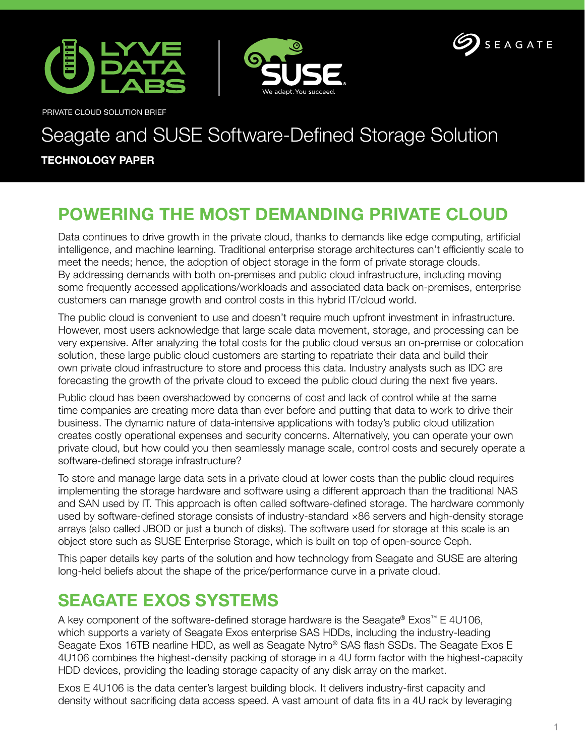





PRIVATE CLOUD SOLUTION BRIEF

# Seagate and SUSE Software-Defined Storage Solution

#### **TECHNOLOGY PAPER**

# **POWERING THE MOST DEMANDING PRIVATE CLOUD**

Data continues to drive growth in the private cloud, thanks to demands like edge computing, artificial intelligence, and machine learning. Traditional enterprise storage architectures can't efficiently scale to meet the needs; hence, the adoption of object storage in the form of private storage clouds. By addressing demands with both on-premises and public cloud infrastructure, including moving some frequently accessed applications/workloads and associated data back on-premises, enterprise customers can manage growth and control costs in this hybrid IT/cloud world.

The public cloud is convenient to use and doesn't require much upfront investment in infrastructure. However, most users acknowledge that large scale data movement, storage, and processing can be very expensive. After analyzing the total costs for the public cloud versus an on-premise or colocation solution, these large public cloud customers are starting to repatriate their data and build their own private cloud infrastructure to store and process this data. Industry analysts such as IDC are forecasting the growth of the private cloud to exceed the public cloud during the next five years.

Public cloud has been overshadowed by concerns of cost and lack of control while at the same time companies are creating more data than ever before and putting that data to work to drive their business. The dynamic nature of data-intensive applications with today's public cloud utilization creates costly operational expenses and security concerns. Alternatively, you can operate your own private cloud, but how could you then seamlessly manage scale, control costs and securely operate a software-defined storage infrastructure?

To store and manage large data sets in a private cloud at lower costs than the public cloud requires implementing the storage hardware and software using a different approach than the traditional NAS and SAN used by IT. This approach is often called software-defined storage. The hardware commonly used by software-defined storage consists of industry-standard ×86 servers and high-density storage arrays (also called JBOD or just a bunch of disks). The software used for storage at this scale is an object store such as SUSE Enterprise Storage, which is built on top of open-source Ceph.

This paper details key parts of the solution and how technology from Seagate and SUSE are altering long-held beliefs about the shape of the price/performance curve in a private cloud.

### **SEAGATE EXOS SYSTEMS**

A key component of the software-defined storage hardware is the Seagate® Exos™ E 4U106, which supports a variety of Seagate Exos enterprise SAS HDDs, including the industry-leading Seagate Exos 16TB nearline HDD, as well as Seagate Nytro® SAS flash SSDs. The Seagate Exos E 4U106 combines the highest-density packing of storage in a 4U form factor with the highest-capacity HDD devices, providing the leading storage capacity of any disk array on the market.

Exos E 4U106 is the data center's largest building block. It delivers industry-first capacity and density without sacrificing data access speed. A vast amount of data fits in a 4U rack by leveraging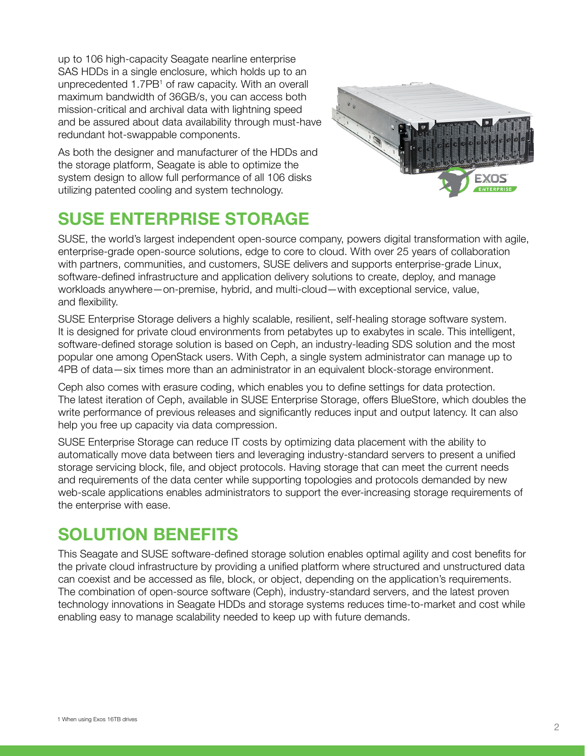up to 106 high-capacity Seagate nearline enterprise SAS HDDs in a single enclosure, which holds up to an unprecedented 1.7PB<sup>1</sup> of raw capacity. With an overall maximum bandwidth of 36GB/s, you can access both mission-critical and archival data with lightning speed and be assured about data availability through must-have redundant hot-swappable components.

As both the designer and manufacturer of the HDDs and the storage platform, Seagate is able to optimize the system design to allow full performance of all 106 disks utilizing patented cooling and system technology.

# **SUSE ENTERPRISE STORAGE**



SUSE, the world's largest independent open-source company, powers digital transformation with agile, enterprise-grade open-source solutions, edge to core to cloud. With over 25 years of collaboration with partners, communities, and customers, SUSE delivers and supports enterprise-grade Linux, software-defined infrastructure and application delivery solutions to create, deploy, and manage workloads anywhere—on-premise, hybrid, and multi-cloud—with exceptional service, value, and flexibility.

SUSE Enterprise Storage delivers a highly scalable, resilient, self-healing storage software system. It is designed for private cloud environments from petabytes up to exabytes in scale. This intelligent, software-defined storage solution is based on Ceph, an industry-leading SDS solution and the most popular one among OpenStack users. With Ceph, a single system administrator can manage up to 4PB of data—six times more than an administrator in an equivalent block-storage environment.

Ceph also comes with erasure coding, which enables you to define settings for data protection. The latest iteration of Ceph, available in SUSE Enterprise Storage, offers BlueStore, which doubles the write performance of previous releases and significantly reduces input and output latency. It can also help you free up capacity via data compression.

SUSE Enterprise Storage can reduce IT costs by optimizing data placement with the ability to automatically move data between tiers and leveraging industry-standard servers to present a unified storage servicing block, file, and object protocols. Having storage that can meet the current needs and requirements of the data center while supporting topologies and protocols demanded by new web-scale applications enables administrators to support the ever-increasing storage requirements of the enterprise with ease.

#### **SOLUTION BENEFITS**

This Seagate and SUSE software-defined storage solution enables optimal agility and cost benefits for the private cloud infrastructure by providing a unified platform where structured and unstructured data can coexist and be accessed as file, block, or object, depending on the application's requirements. The combination of open-source software (Ceph), industry-standard servers, and the latest proven technology innovations in Seagate HDDs and storage systems reduces time-to-market and cost while enabling easy to manage scalability needed to keep up with future demands.